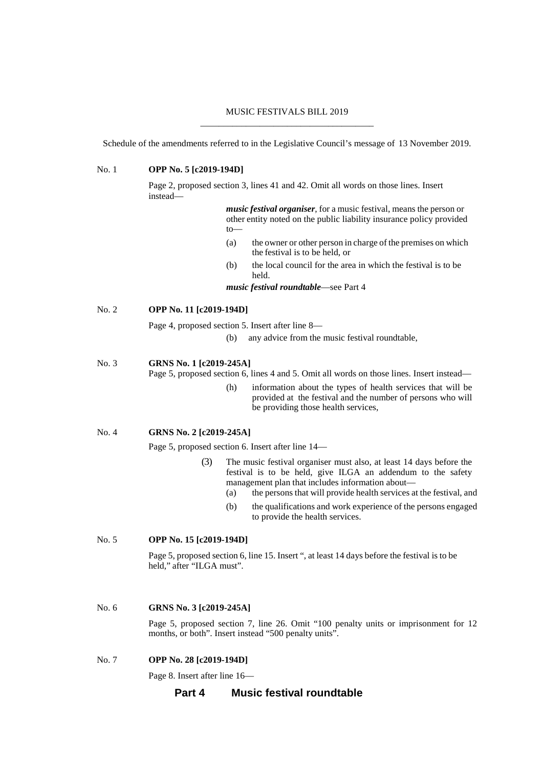#### MUSIC FESTIVALS BILL 2019 \_\_\_\_\_\_\_\_\_\_\_\_\_\_\_\_\_\_\_\_\_\_\_\_\_\_\_\_\_\_\_\_\_\_\_\_\_\_

Schedule of the amendments referred to in the Legislative Council's message of 13 November 2019.

#### No. 1 **OPP No. 5 [c2019-194D]**

Page 2, proposed section 3, lines 41 and 42. Omit all words on those lines. Insert instead—

> *music festival organiser*, for a music festival, means the person or other entity noted on the public liability insurance policy provided to—

- (a) the owner or other person in charge of the premises on which the festival is to be held, or
- (b) the local council for the area in which the festival is to be held.

*music festival roundtable*—see Part 4

# No. 2 **OPP No. 11 [c2019-194D]**

Page 4, proposed section 5. Insert after line 8—

(b) any advice from the music festival roundtable,

# No. 3 **GRNS No. 1 [c2019-245A]**

Page 5, proposed section 6, lines 4 and 5. Omit all words on those lines. Insert instead—

(h) information about the types of health services that will be provided at the festival and the number of persons who will be providing those health services,

#### No. 4 **GRNS No. 2 [c2019-245A]**

Page 5, proposed section 6. Insert after line 14—

- (3) The music festival organiser must also, at least 14 days before the festival is to be held, give ILGA an addendum to the safety management plan that includes information about—
	- (a) the persons that will provide health services at the festival, and
	- (b) the qualifications and work experience of the persons engaged to provide the health services.

# No. 5 **OPP No. 15 [c2019-194D]**

Page 5, proposed section 6, line 15. Insert ", at least 14 days before the festival is to be held," after "ILGA must".

#### No. 6 **GRNS No. 3 [c2019-245A]**

Page 5, proposed section 7, line 26. Omit "100 penalty units or imprisonment for 12 months, or both". Insert instead "500 penalty units".

#### No. 7 **OPP No. 28 [c2019-194D]**

Page 8. Insert after line 16—

# **Part 4 Music festival roundtable**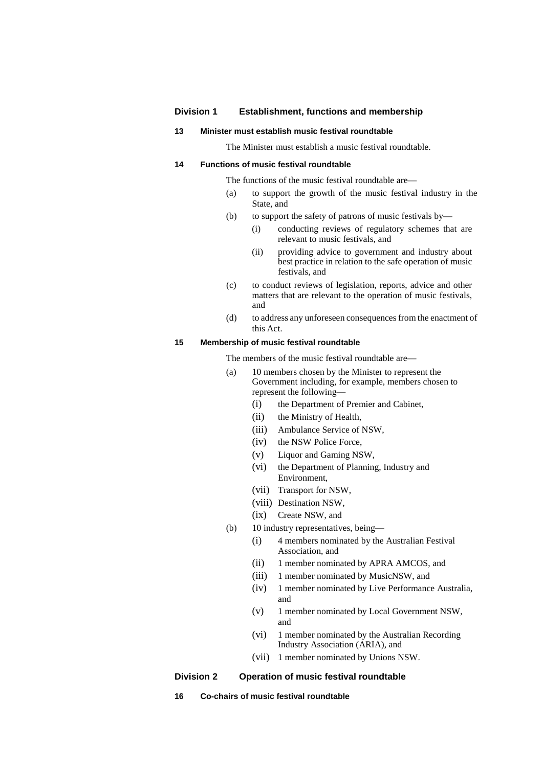# **Division 1 Establishment, functions and membership**

#### **13 Minister must establish music festival roundtable**

The Minister must establish a music festival roundtable.

### **14 Functions of music festival roundtable**

The functions of the music festival roundtable are—

- (a) to support the growth of the music festival industry in the State, and
- (b) to support the safety of patrons of music festivals by—
	- (i) conducting reviews of regulatory schemes that are relevant to music festivals, and
	- (ii) providing advice to government and industry about best practice in relation to the safe operation of music festivals, and
- (c) to conduct reviews of legislation, reports, advice and other matters that are relevant to the operation of music festivals, and
- (d) to address any unforeseen consequences from the enactment of this Act.

### **15 Membership of music festival roundtable**

The members of the music festival roundtable are—

- (a) 10 members chosen by the Minister to represent the Government including, for example, members chosen to represent the following—
	- (i) the Department of Premier and Cabinet,
	- (ii) the Ministry of Health,
	- (iii) Ambulance Service of NSW,
	- (iv) the NSW Police Force,
	- (v) Liquor and Gaming NSW,
	- (vi) the Department of Planning, Industry and Environment,
	- (vii) Transport for NSW,
	- (viii) Destination NSW,
	- (ix) Create NSW, and
- (b) 10 industry representatives, being—
	- (i) 4 members nominated by the Australian Festival Association, and
	- (ii) 1 member nominated by APRA AMCOS, and
	- (iii) 1 member nominated by MusicNSW, and
	- (iv) 1 member nominated by Live Performance Australia, and
	- (v) 1 member nominated by Local Government NSW, and
	- (vi) 1 member nominated by the Australian Recording Industry Association (ARIA), and
	- (vii) 1 member nominated by Unions NSW.

### **Division 2 Operation of music festival roundtable**

**16 Co-chairs of music festival roundtable**